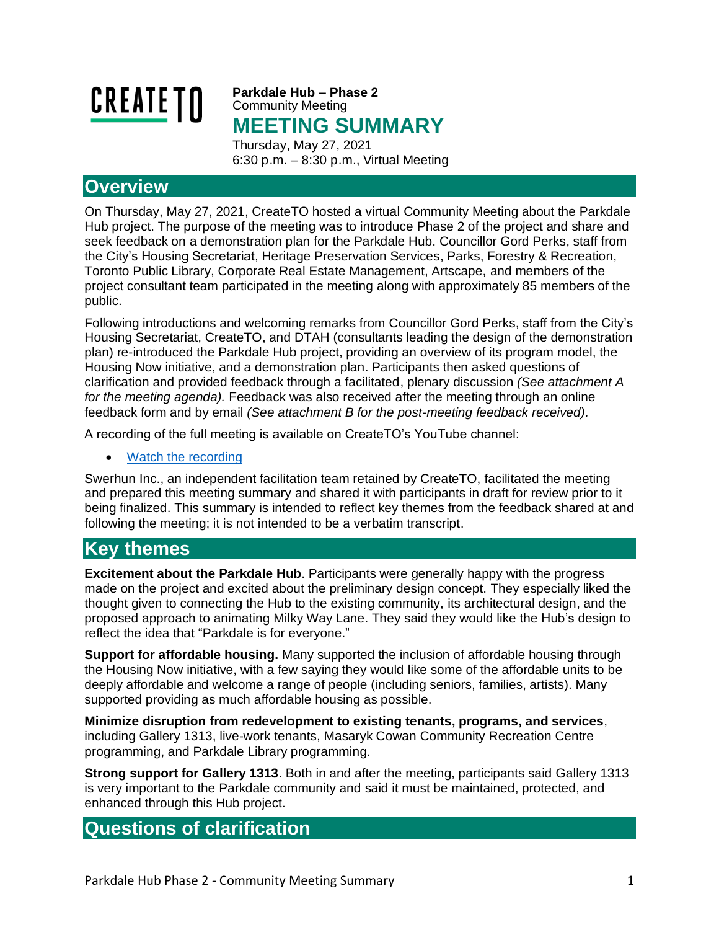

# **Parkdale Hub – Phase 2** Community Meeting **MEETING SUMMARY**

Thursday, May 27, 2021 6:30 p.m. – 8:30 p.m., Virtual Meeting

# **Overview**

On Thursday, May 27, 2021, CreateTO hosted a virtual Community Meeting about the Parkdale Hub project. The purpose of the meeting was to introduce Phase 2 of the project and share and seek feedback on a demonstration plan for the Parkdale Hub. Councillor Gord Perks, staff from the City's Housing Secretariat, Heritage Preservation Services, Parks, Forestry & Recreation, Toronto Public Library, Corporate Real Estate Management, Artscape, and members of the project consultant team participated in the meeting along with approximately 85 members of the public.

Following introductions and welcoming remarks from Councillor Gord Perks, staff from the City's Housing Secretariat, CreateTO, and DTAH (consultants leading the design of the demonstration plan) re-introduced the Parkdale Hub project, providing an overview of its program model, the Housing Now initiative, and a demonstration plan. Participants then asked questions of clarification and provided feedback through a facilitated, plenary discussion *(See attachment A for the meeting agenda).* Feedback was also received after the meeting through an online feedback form and by email *(See attachment B for the post-meeting feedback received).*

A recording of the full meeting is available on CreateTO's YouTube channel:

• [Watch the recording](https://www.youtube.com/watch?v=lbQGZp3JEpY)

Swerhun Inc., an independent facilitation team retained by CreateTO, facilitated the meeting and prepared this meeting summary and shared it with participants in draft for review prior to it being finalized. This summary is intended to reflect key themes from the feedback shared at and following the meeting; it is not intended to be a verbatim transcript.

# **Key themes**

**Excitement about the Parkdale Hub**. Participants were generally happy with the progress made on the project and excited about the preliminary design concept. They especially liked the thought given to connecting the Hub to the existing community, its architectural design, and the proposed approach to animating Milky Way Lane. They said they would like the Hub's design to reflect the idea that "Parkdale is for everyone."

**Support for affordable housing.** Many supported the inclusion of affordable housing through the Housing Now initiative, with a few saying they would like some of the affordable units to be deeply affordable and welcome a range of people (including seniors, families, artists). Many supported providing as much affordable housing as possible.

**Minimize disruption from redevelopment to existing tenants, programs, and services**, including Gallery 1313, live-work tenants, Masaryk Cowan Community Recreation Centre programming, and Parkdale Library programming.

**Strong support for Gallery 1313**. Both in and after the meeting, participants said Gallery 1313 is very important to the Parkdale community and said it must be maintained, protected, and enhanced through this Hub project.

# **Questions of clarification**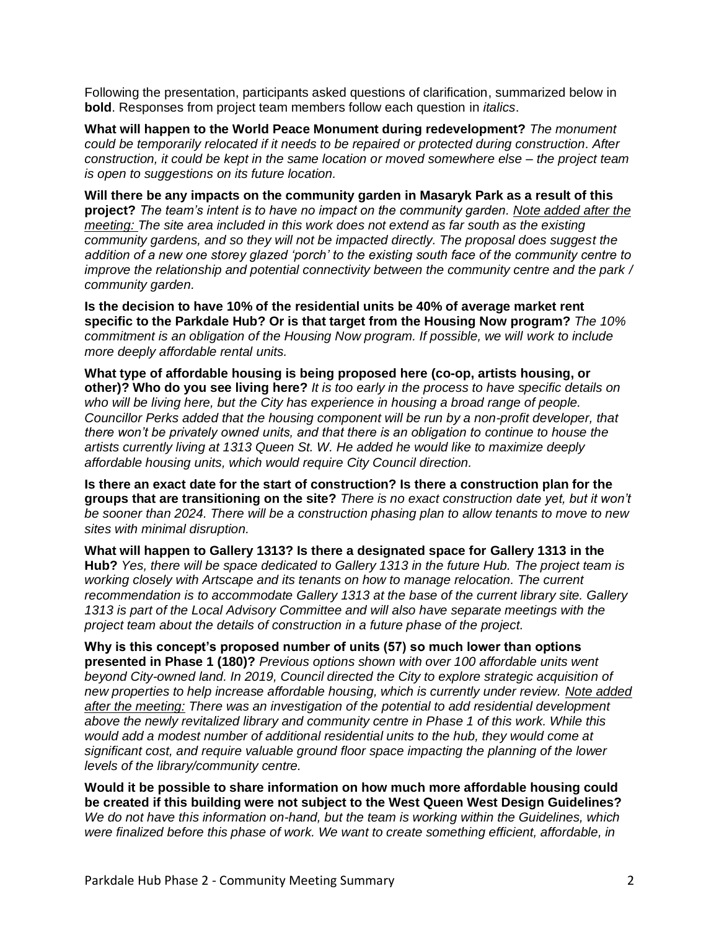Following the presentation, participants asked questions of clarification, summarized below in **bold**. Responses from project team members follow each question in *italics*.

**What will happen to the World Peace Monument during redevelopment?** *The monument could be temporarily relocated if it needs to be repaired or protected during construction. After construction, it could be kept in the same location or moved somewhere else – the project team is open to suggestions on its future location.*

**Will there be any impacts on the community garden in Masaryk Park as a result of this project?** *The team's intent is to have no impact on the community garden. Note added after the meeting: The site area included in this work does not extend as far south as the existing community gardens, and so they will not be impacted directly. The proposal does suggest the addition of a new one storey glazed 'porch' to the existing south face of the community centre to improve the relationship and potential connectivity between the community centre and the park / community garden.*

**Is the decision to have 10% of the residential units be 40% of average market rent specific to the Parkdale Hub? Or is that target from the Housing Now program?** *The 10% commitment is an obligation of the Housing Now program. If possible, we will work to include more deeply affordable rental units.*

**What type of affordable housing is being proposed here (co-op, artists housing, or other)? Who do you see living here?** *It is too early in the process to have specific details on who will be living here, but the City has experience in housing a broad range of people. Councillor Perks added that the housing component will be run by a non-profit developer, that there won't be privately owned units, and that there is an obligation to continue to house the artists currently living at 1313 Queen St. W. He added he would like to maximize deeply affordable housing units, which would require City Council direction.*

**Is there an exact date for the start of construction? Is there a construction plan for the groups that are transitioning on the site?** *There is no exact construction date yet, but it won't be sooner than 2024. There will be a construction phasing plan to allow tenants to move to new sites with minimal disruption.* 

**What will happen to Gallery 1313? Is there a designated space for Gallery 1313 in the Hub?** *Yes, there will be space dedicated to Gallery 1313 in the future Hub. The project team is working closely with Artscape and its tenants on how to manage relocation. The current recommendation is to accommodate Gallery 1313 at the base of the current library site. Gallery 1313 is part of the Local Advisory Committee and will also have separate meetings with the project team about the details of construction in a future phase of the project.*

**Why is this concept's proposed number of units (57) so much lower than options presented in Phase 1 (180)?** *Previous options shown with over 100 affordable units went beyond City-owned land. In 2019, Council directed the City to explore strategic acquisition of new properties to help increase affordable housing, which is currently under review. Note added after the meeting: There was an investigation of the potential to add residential development above the newly revitalized library and community centre in Phase 1 of this work. While this would add a modest number of additional residential units to the hub, they would come at significant cost, and require valuable ground floor space impacting the planning of the lower levels of the library/community centre.*

**Would it be possible to share information on how much more affordable housing could be created if this building were not subject to the West Queen West Design Guidelines?** *We do not have this information on-hand, but the team is working within the Guidelines, which were finalized before this phase of work. We want to create something efficient, affordable, in*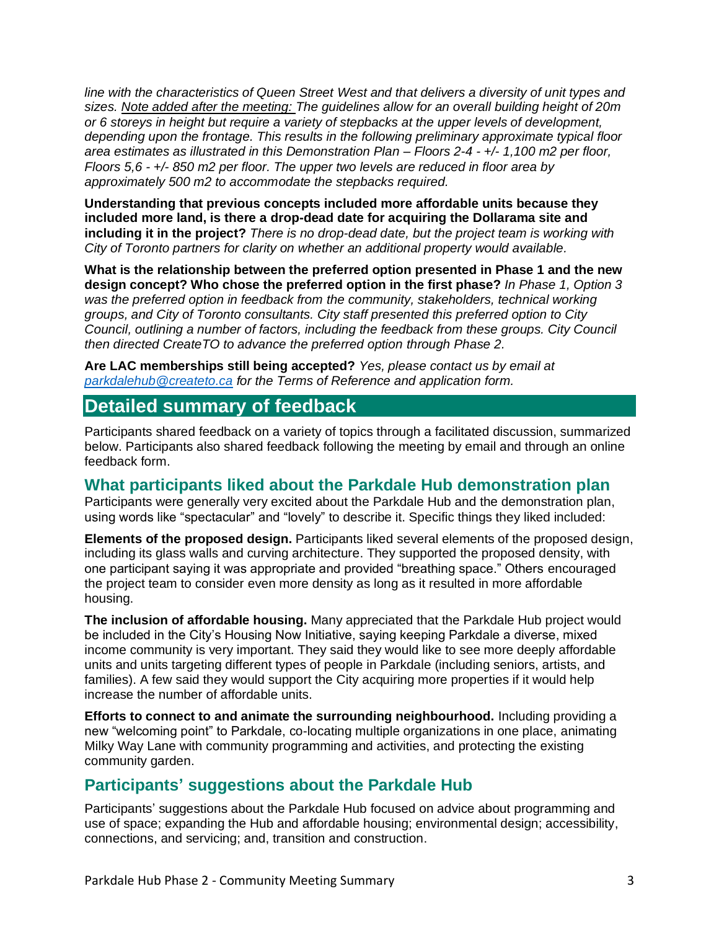*line with the characteristics of Queen Street West and that delivers a diversity of unit types and sizes. Note added after the meeting: The guidelines allow for an overall building height of 20m or 6 storeys in height but require a variety of stepbacks at the upper levels of development, depending upon the frontage. This results in the following preliminary approximate typical floor area estimates as illustrated in this Demonstration Plan – Floors 2-4 - +/- 1,100 m2 per floor, Floors 5,6 - +/- 850 m2 per floor. The upper two levels are reduced in floor area by approximately 500 m2 to accommodate the stepbacks required.*

**Understanding that previous concepts included more affordable units because they included more land, is there a drop-dead date for acquiring the Dollarama site and including it in the project?** *There is no drop-dead date, but the project team is working with City of Toronto partners for clarity on whether an additional property would available.*

**What is the relationship between the preferred option presented in Phase 1 and the new design concept? Who chose the preferred option in the first phase?** *In Phase 1, Option 3 was the preferred option in feedback from the community, stakeholders, technical working groups, and City of Toronto consultants. City staff presented this preferred option to City Council, outlining a number of factors, including the feedback from these groups. City Council then directed CreateTO to advance the preferred option through Phase 2.*

**Are LAC memberships still being accepted?** *Yes, please contact us by email at [parkdalehub@createto.ca](mailto:parkdalehub@createto.ca) for the Terms of Reference and application form.*

# **Detailed summary of feedback**

Participants shared feedback on a variety of topics through a facilitated discussion, summarized below. Participants also shared feedback following the meeting by email and through an online feedback form.

# **What participants liked about the Parkdale Hub demonstration plan**

Participants were generally very excited about the Parkdale Hub and the demonstration plan, using words like "spectacular" and "lovely" to describe it. Specific things they liked included:

**Elements of the proposed design.** Participants liked several elements of the proposed design, including its glass walls and curving architecture. They supported the proposed density, with one participant saying it was appropriate and provided "breathing space." Others encouraged the project team to consider even more density as long as it resulted in more affordable housing.

**The inclusion of affordable housing.** Many appreciated that the Parkdale Hub project would be included in the City's Housing Now Initiative, saying keeping Parkdale a diverse, mixed income community is very important. They said they would like to see more deeply affordable units and units targeting different types of people in Parkdale (including seniors, artists, and families). A few said they would support the City acquiring more properties if it would help increase the number of affordable units.

**Efforts to connect to and animate the surrounding neighbourhood.** Including providing a new "welcoming point" to Parkdale, co-locating multiple organizations in one place, animating Milky Way Lane with community programming and activities, and protecting the existing community garden.

# **Participants' suggestions about the Parkdale Hub**

Participants' suggestions about the Parkdale Hub focused on advice about programming and use of space; expanding the Hub and affordable housing; environmental design; accessibility, connections, and servicing; and, transition and construction.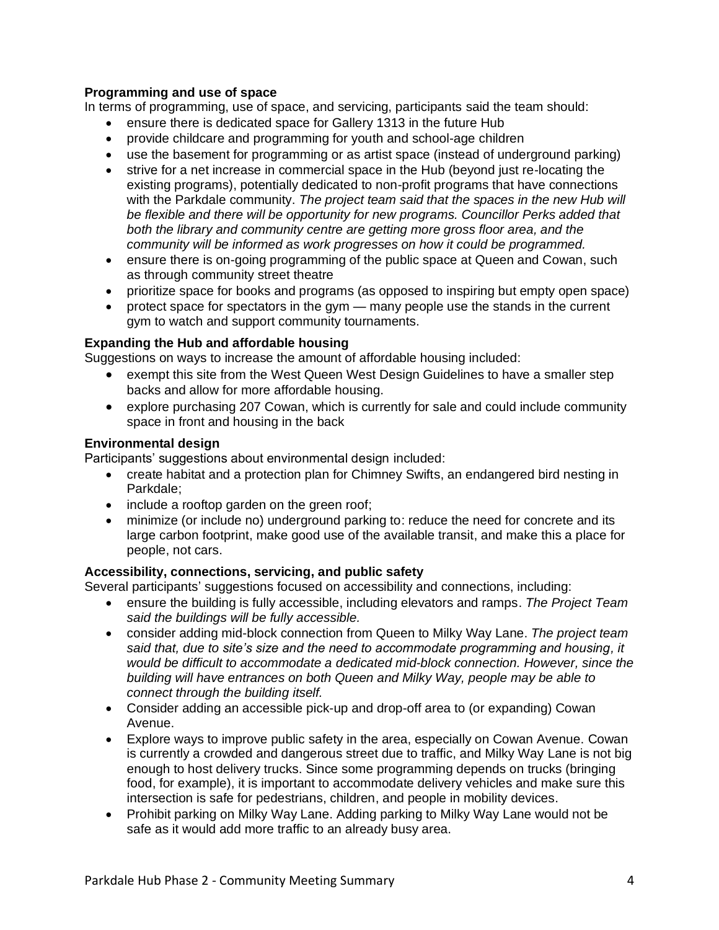# **Programming and use of space**

In terms of programming, use of space, and servicing, participants said the team should:

- ensure there is dedicated space for Gallery 1313 in the future Hub
- provide childcare and programming for youth and school-age children
- use the basement for programming or as artist space (instead of underground parking)
- strive for a net increase in commercial space in the Hub (bevond just re-locating the existing programs), potentially dedicated to non-profit programs that have connections with the Parkdale community. *The project team said that the spaces in the new Hub will be flexible and there will be opportunity for new programs. Councillor Perks added that both the library and community centre are getting more gross floor area, and the community will be informed as work progresses on how it could be programmed.*
- ensure there is on-going programming of the public space at Queen and Cowan, such as through community street theatre
- prioritize space for books and programs (as opposed to inspiring but empty open space)
- protect space for spectators in the gym many people use the stands in the current gym to watch and support community tournaments.

# **Expanding the Hub and affordable housing**

Suggestions on ways to increase the amount of affordable housing included:

- exempt this site from the West Queen West Design Guidelines to have a smaller step backs and allow for more affordable housing.
- explore purchasing 207 Cowan, which is currently for sale and could include community space in front and housing in the back

# **Environmental design**

Participants' suggestions about environmental design included:

- create habitat and a protection plan for Chimney Swifts, an endangered bird nesting in Parkdale;
- include a rooftop garden on the green roof;
- minimize (or include no) underground parking to: reduce the need for concrete and its large carbon footprint, make good use of the available transit, and make this a place for people, not cars.

# **Accessibility, connections, servicing, and public safety**

Several participants' suggestions focused on accessibility and connections, including:

- ensure the building is fully accessible, including elevators and ramps. *The Project Team said the buildings will be fully accessible.*
- consider adding mid-block connection from Queen to Milky Way Lane. *The project team said that, due to site's size and the need to accommodate programming and housing, it would be difficult to accommodate a dedicated mid-block connection. However, since the building will have entrances on both Queen and Milky Way, people may be able to connect through the building itself.*
- Consider adding an accessible pick-up and drop-off area to (or expanding) Cowan Avenue.
- Explore ways to improve public safety in the area, especially on Cowan Avenue. Cowan is currently a crowded and dangerous street due to traffic, and Milky Way Lane is not big enough to host delivery trucks. Since some programming depends on trucks (bringing food, for example), it is important to accommodate delivery vehicles and make sure this intersection is safe for pedestrians, children, and people in mobility devices.
- Prohibit parking on Milky Way Lane. Adding parking to Milky Way Lane would not be safe as it would add more traffic to an already busy area.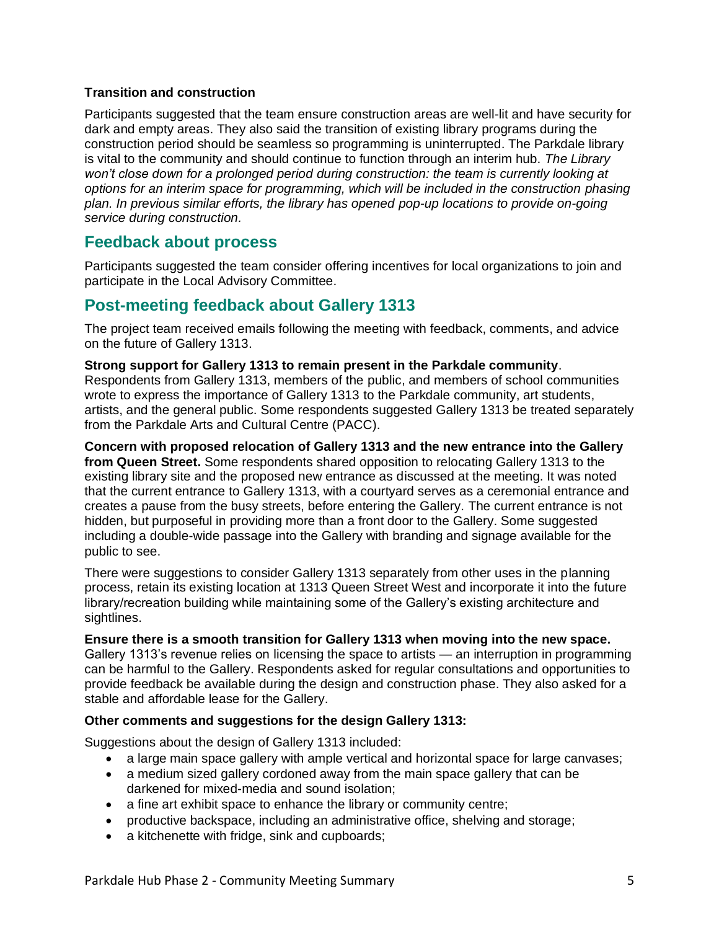# **Transition and construction**

Participants suggested that the team ensure construction areas are well-lit and have security for dark and empty areas. They also said the transition of existing library programs during the construction period should be seamless so programming is uninterrupted. The Parkdale library is vital to the community and should continue to function through an interim hub. *The Library won't close down for a prolonged period during construction: the team is currently looking at options for an interim space for programming, which will be included in the construction phasing plan. In previous similar efforts, the library has opened pop-up locations to provide on-going service during construction.*

# **Feedback about process**

Participants suggested the team consider offering incentives for local organizations to join and participate in the Local Advisory Committee.

# **Post-meeting feedback about Gallery 1313**

The project team received emails following the meeting with feedback, comments, and advice on the future of Gallery 1313.

**Strong support for Gallery 1313 to remain present in the Parkdale community**. Respondents from Gallery 1313, members of the public, and members of school communities wrote to express the importance of Gallery 1313 to the Parkdale community, art students, artists, and the general public. Some respondents suggested Gallery 1313 be treated separately from the Parkdale Arts and Cultural Centre (PACC).

**Concern with proposed relocation of Gallery 1313 and the new entrance into the Gallery from Queen Street.** Some respondents shared opposition to relocating Gallery 1313 to the existing library site and the proposed new entrance as discussed at the meeting. It was noted that the current entrance to Gallery 1313, with a courtyard serves as a ceremonial entrance and creates a pause from the busy streets, before entering the Gallery. The current entrance is not hidden, but purposeful in providing more than a front door to the Gallery. Some suggested including a double-wide passage into the Gallery with branding and signage available for the public to see.

There were suggestions to consider Gallery 1313 separately from other uses in the planning process, retain its existing location at 1313 Queen Street West and incorporate it into the future library/recreation building while maintaining some of the Gallery's existing architecture and sightlines.

# **Ensure there is a smooth transition for Gallery 1313 when moving into the new space.**

Gallery 1313's revenue relies on licensing the space to artists — an interruption in programming can be harmful to the Gallery. Respondents asked for regular consultations and opportunities to provide feedback be available during the design and construction phase. They also asked for a stable and affordable lease for the Gallery.

# **Other comments and suggestions for the design Gallery 1313:**

Suggestions about the design of Gallery 1313 included:

- a large main space gallery with ample vertical and horizontal space for large canvases;
- a medium sized gallery cordoned away from the main space gallery that can be darkened for mixed-media and sound isolation;
- a fine art exhibit space to enhance the library or community centre;
- productive backspace, including an administrative office, shelving and storage;
- a kitchenette with fridge, sink and cupboards;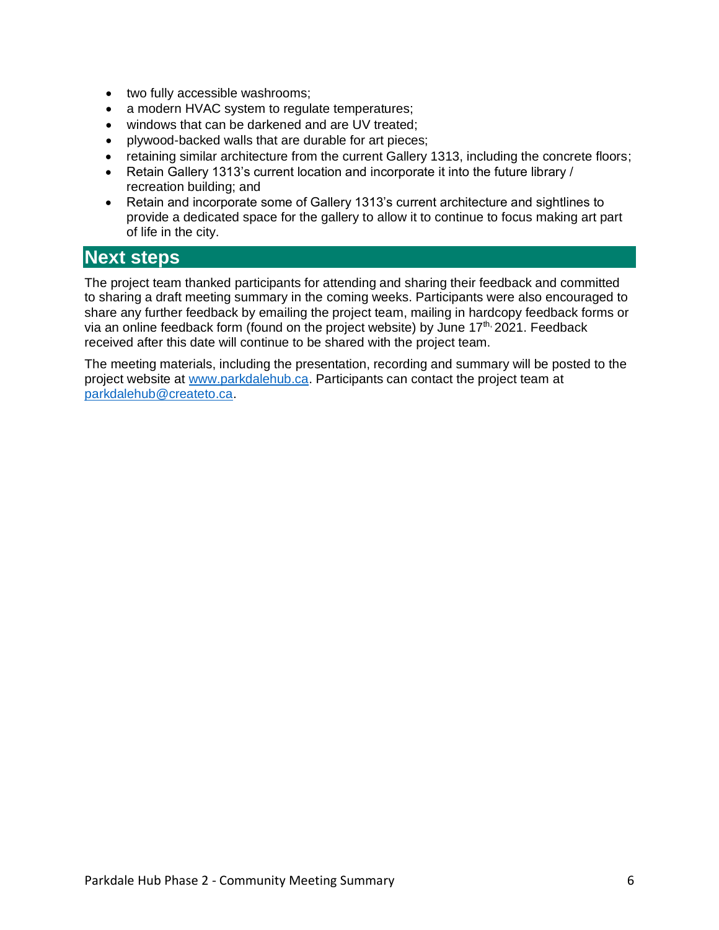- two fully accessible washrooms;
- a modern HVAC system to regulate temperatures;
- windows that can be darkened and are UV treated;
- plywood-backed walls that are durable for art pieces;
- retaining similar architecture from the current Gallery 1313, including the concrete floors;
- Retain Gallery 1313's current location and incorporate it into the future library / recreation building; and
- Retain and incorporate some of Gallery 1313's current architecture and sightlines to provide a dedicated space for the gallery to allow it to continue to focus making art part of life in the city.

# **Next steps**

The project team thanked participants for attending and sharing their feedback and committed to sharing a draft meeting summary in the coming weeks. Participants were also encouraged to share any further feedback by emailing the project team, mailing in hardcopy feedback forms or via an online feedback form (found on the project website) by June  $17<sup>th</sup>$ , 2021. Feedback received after this date will continue to be shared with the project team.

The meeting materials, including the presentation, recording and summary will be posted to the project website at [www.parkdalehub.ca.](http://www.parkdalehub.ca/) Participants can contact the project team at [parkdalehub@createto.ca.](mailto:parkdalehub@createto.ca)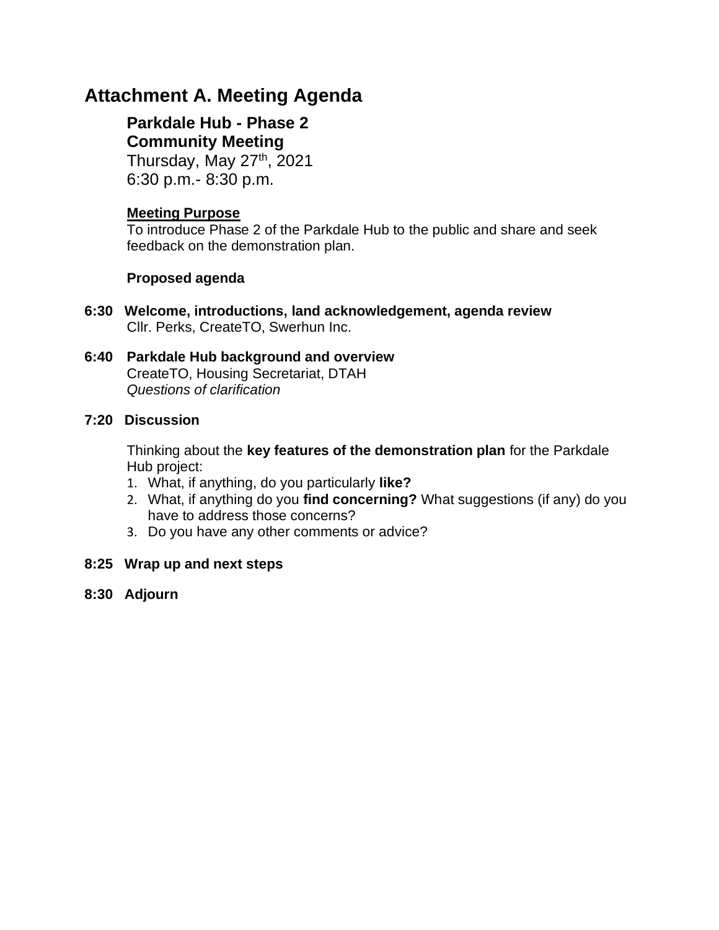# **Attachment A. Meeting Agenda**

**Parkdale Hub - Phase 2 Community Meeting** Thursday, May  $27<sup>th</sup>$ , 2021 6:30 p.m.- 8:30 p.m.

# **Meeting Purpose**

To introduce Phase 2 of the Parkdale Hub to the public and share and seek feedback on the demonstration plan.

# **Proposed agenda**

**6:30 Welcome, introductions, land acknowledgement, agenda review** Cllr. Perks, CreateTO, Swerhun Inc.

# **6:40 Parkdale Hub background and overview** CreateTO, Housing Secretariat, DTAH *Questions of clarification*

# **7:20 Discussion**

Thinking about the **key features of the demonstration plan** for the Parkdale Hub project:

- 1. What, if anything, do you particularly **like?**
- 2. What, if anything do you **find concerning?** What suggestions (if any) do you have to address those concerns?
- 3. Do you have any other comments or advice?

# **8:25 Wrap up and next steps**

**8:30 Adjourn**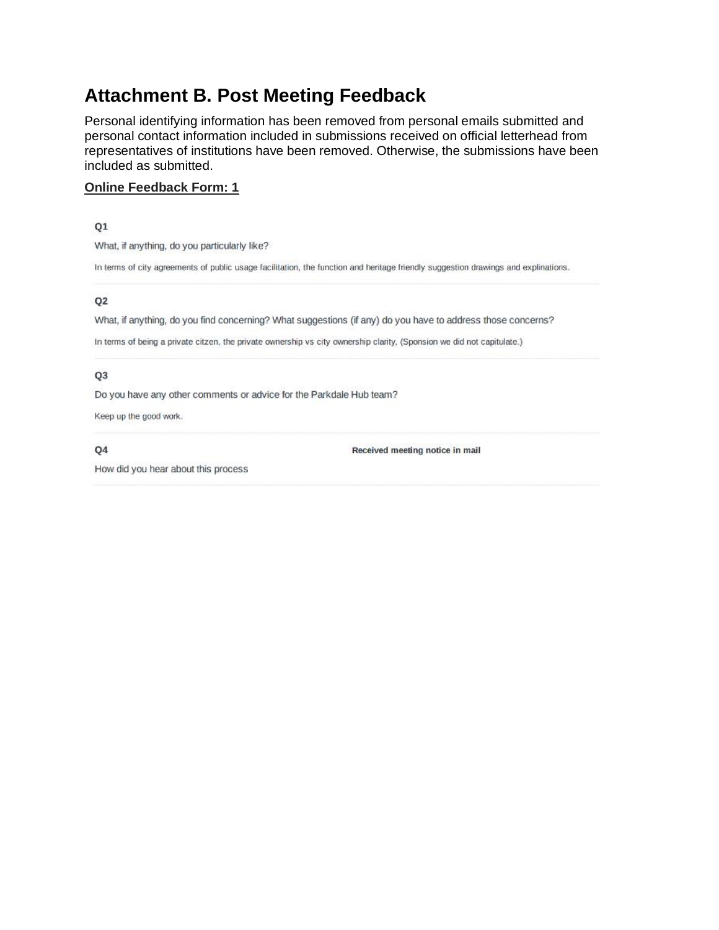# **Attachment B. Post Meeting Feedback**

Personal identifying information has been removed from personal emails submitted and personal contact information included in submissions received on official letterhead from representatives of institutions have been removed. Otherwise, the submissions have been included as submitted.

# **Online Feedback Form: 1**

### Q1

What, if anything, do you particularly like?

In terms of city agreements of public usage facilitation, the function and heritage friendly suggestion drawings and explinations.

### O<sub>2</sub>

What, if anything, do you find concerning? What suggestions (if any) do you have to address those concerns?

In terms of being a private citzen, the private ownership vs city ownership clarity, (Sponsion we did not capitulate.)

### Q<sub>3</sub>

Do you have any other comments or advice for the Parkdale Hub team?

Keep up the good work.

#### Q4

Received meeting notice in mail

How did you hear about this process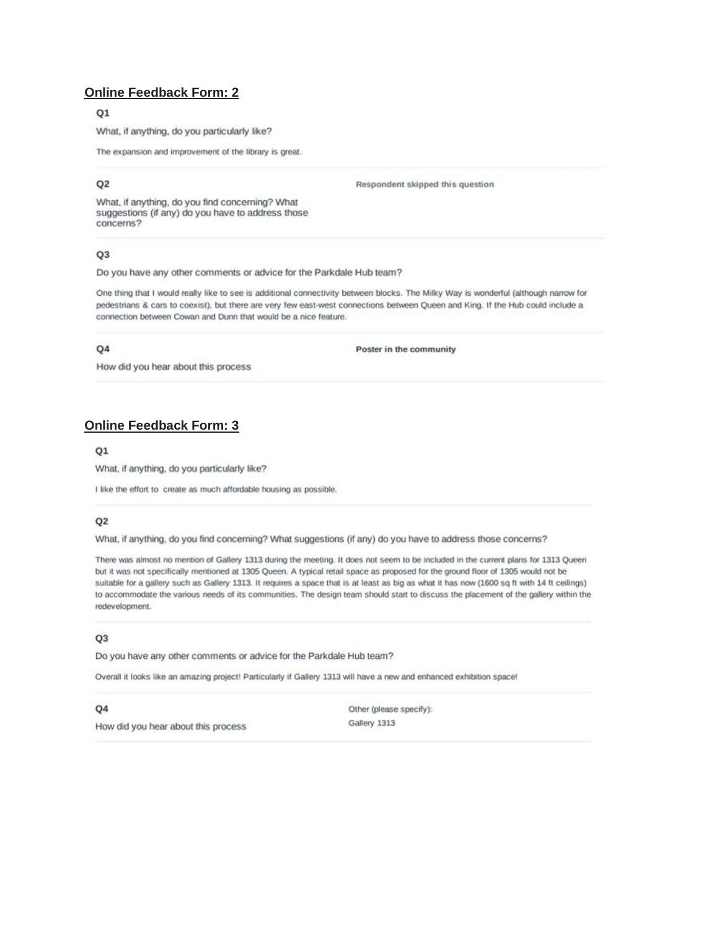### **Online Feedback Form: 2**

#### 01

What, if anything, do you particularly like?

The expansion and improvement of the library is great.

#### O<sub>2</sub>

What, if anything, do you find concerning? What suggestions (if any) do you have to address those concerns?

#### O<sub>3</sub>

Do you have any other comments or advice for the Parkdale Hub team?

One thing that I would really like to see is additional connectivity between blocks. The Milky Way is wonderful (although narrow for pedestrians & cars to coexist), but there are very few east-west connections between Queen and King. If the Hub could include a connection between Cowan and Dunn that would be a nice feature.

#### Q4

Poster in the community

Respondent skipped this question

How did you hear about this process

# **Online Feedback Form: 3**

#### Q1

What, if anything, do you particularly like?

I like the effort to create as much affordable housing as possible.

#### Q<sub>2</sub>

What, if anything, do you find concerning? What suggestions (if any) do you have to address those concerns?

There was almost no mention of Gallery 1313 during the meeting. It does not seem to be included in the current plans for 1313 Queen but it was not specifically mentioned at 1305 Queen. A typical retail space as proposed for the ground floor of 1305 would not be suitable for a gallery such as Gallery 1313. It requires a space that is at least as big as what it has now (1600 sq ft with 14 ft cellings) to accommodate the various needs of its communities. The design team should start to discuss the placement of the gallery within the redevelopment.

#### Q<sub>3</sub>

Do you have any other comments or advice for the Parkdale Hub team?

Overall it looks like an amazing project! Particularly if Gallery 1313 will have a new and enhanced exhibition space!

| Q4 |  |  |                                     |
|----|--|--|-------------------------------------|
|    |  |  | How did you hear about this process |

Other (please specify): Gallery 1313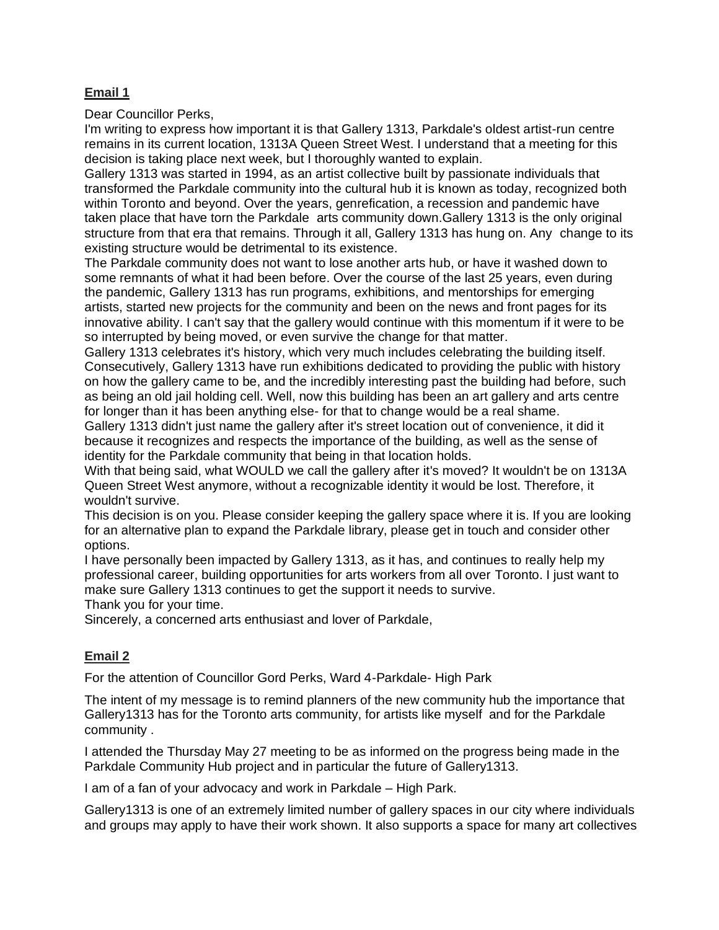Dear Councillor Perks,

I'm writing to express how important it is that Gallery 1313, Parkdale's oldest artist-run centre remains in its current location, 1313A Queen Street West. I understand that a meeting for this decision is taking place next week, but I thoroughly wanted to explain.

Gallery 1313 was started in 1994, as an artist collective built by passionate individuals that transformed the Parkdale community into the cultural hub it is known as today, recognized both within Toronto and beyond. Over the years, genrefication, a recession and pandemic have taken place that have torn the Parkdale arts community down.Gallery 1313 is the only original structure from that era that remains. Through it all, Gallery 1313 has hung on. Any change to its existing structure would be detrimental to its existence.

The Parkdale community does not want to lose another arts hub, or have it washed down to some remnants of what it had been before. Over the course of the last 25 years, even during the pandemic, Gallery 1313 has run programs, exhibitions, and mentorships for emerging artists, started new projects for the community and been on the news and front pages for its innovative ability. I can't say that the gallery would continue with this momentum if it were to be so interrupted by being moved, or even survive the change for that matter.

Gallery 1313 celebrates it's history, which very much includes celebrating the building itself. Consecutively, Gallery 1313 have run exhibitions dedicated to providing the public with history on how the gallery came to be, and the incredibly interesting past the building had before, such as being an old jail holding cell. Well, now this building has been an art gallery and arts centre for longer than it has been anything else- for that to change would be a real shame.

Gallery 1313 didn't just name the gallery after it's street location out of convenience, it did it because it recognizes and respects the importance of the building, as well as the sense of identity for the Parkdale community that being in that location holds.

With that being said, what WOULD we call the gallery after it's moved? It wouldn't be on 1313A Queen Street West anymore, without a recognizable identity it would be lost. Therefore, it wouldn't survive.

This decision is on you. Please consider keeping the gallery space where it is. If you are looking for an alternative plan to expand the Parkdale library, please get in touch and consider other options.

I have personally been impacted by Gallery 1313, as it has, and continues to really help my professional career, building opportunities for arts workers from all over Toronto. I just want to make sure Gallery 1313 continues to get the support it needs to survive.

Thank you for your time.

Sincerely, a concerned arts enthusiast and lover of Parkdale,

# **Email 2**

For the attention of Councillor Gord Perks, Ward 4-Parkdale- High Park

The intent of my message is to remind planners of the new community hub the importance that Gallery1313 has for the Toronto arts community, for artists like myself and for the Parkdale community .

I attended the Thursday May 27 meeting to be as informed on the progress being made in the Parkdale Community Hub project and in particular the future of Gallery1313.

I am of a fan of your advocacy and work in Parkdale – High Park.

Gallery1313 is one of an extremely limited number of gallery spaces in our city where individuals and groups may apply to have their work shown. It also supports a space for many art collectives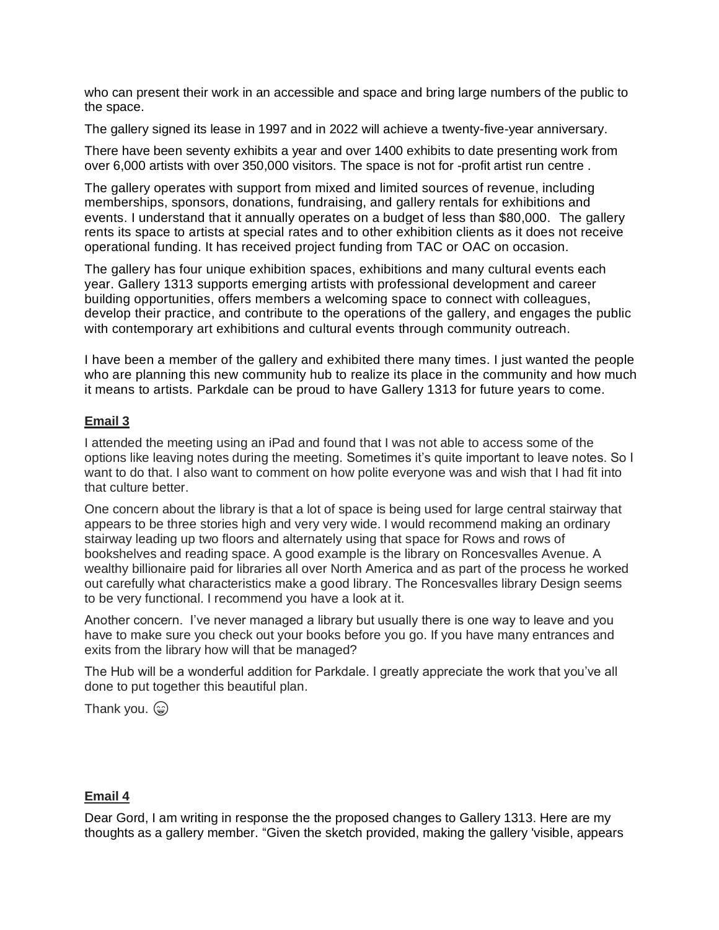who can present their work in an accessible and space and bring large numbers of the public to the space.

The gallery signed its lease in 1997 and in 2022 will achieve a twenty-five-year anniversary.

There have been seventy exhibits a year and over 1400 exhibits to date presenting work from over 6,000 artists with over 350,000 visitors. The space is not for -profit artist run centre .

The gallery operates with support from mixed and limited sources of revenue, including memberships, sponsors, donations, fundraising, and gallery rentals for exhibitions and events. I understand that it annually operates on a budget of less than \$80,000. The gallery rents its space to artists at special rates and to other exhibition clients as it does not receive operational funding. It has received project funding from TAC or OAC on occasion.

The gallery has four unique exhibition spaces, exhibitions and many cultural events each year. Gallery 1313 supports emerging artists with professional development and career building opportunities, offers members a welcoming space to connect with colleagues, develop their practice, and contribute to the operations of the gallery, and engages the public with contemporary art exhibitions and cultural events through community outreach.

I have been a member of the gallery and exhibited there many times. I just wanted the people who are planning this new community hub to realize its place in the community and how much it means to artists. Parkdale can be proud to have Gallery 1313 for future years to come.

# **Email 3**

I attended the meeting using an iPad and found that I was not able to access some of the options like leaving notes during the meeting. Sometimes it's quite important to leave notes. So I want to do that. I also want to comment on how polite everyone was and wish that I had fit into that culture better.

One concern about the library is that a lot of space is being used for large central stairway that appears to be three stories high and very very wide. I would recommend making an ordinary stairway leading up two floors and alternately using that space for Rows and rows of bookshelves and reading space. A good example is the library on Roncesvalles Avenue. A wealthy billionaire paid for libraries all over North America and as part of the process he worked out carefully what characteristics make a good library. The Roncesvalles library Design seems to be very functional. I recommend you have a look at it.

Another concern. I've never managed a library but usually there is one way to leave and you have to make sure you check out your books before you go. If you have many entrances and exits from the library how will that be managed?

The Hub will be a wonderful addition for Parkdale. I greatly appreciate the work that you've all done to put together this beautiful plan.

Thank you.  $\circledcirc$ 

# **Email 4**

Dear Gord, I am writing in response the the proposed changes to Gallery 1313. Here are my thoughts as a gallery member. "Given the sketch provided, making the gallery 'visible, appears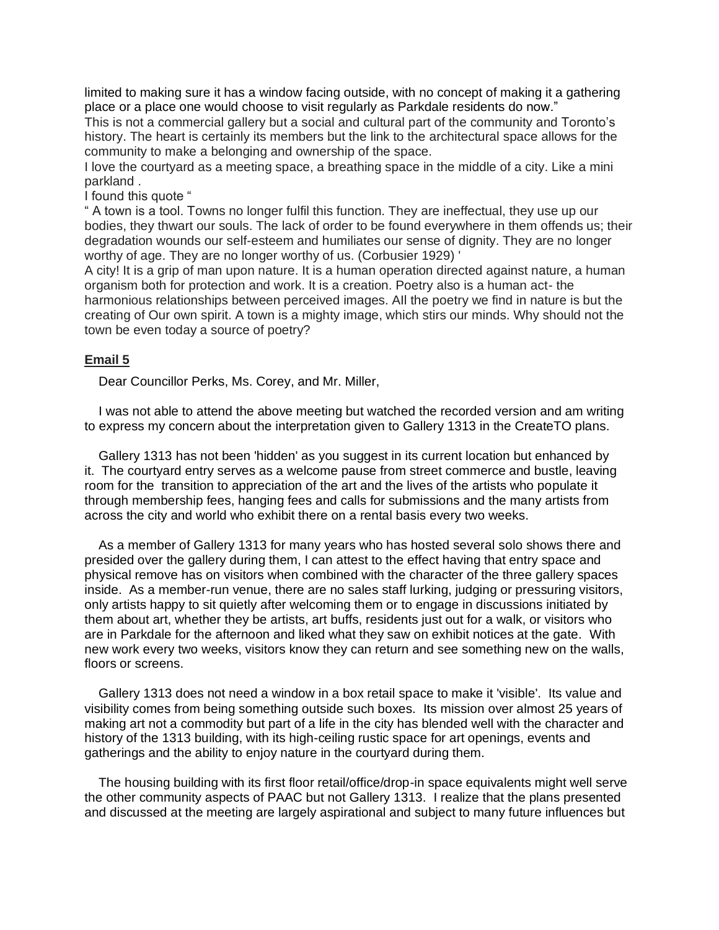limited to making sure it has a window facing outside, with no concept of making it a gathering place or a place one would choose to visit regularly as Parkdale residents do now."

This is not a commercial gallery but a social and cultural part of the community and Toronto's history. The heart is certainly its members but the link to the architectural space allows for the community to make a belonging and ownership of the space.

I love the courtyard as a meeting space, a breathing space in the middle of a city. Like a mini parkland .

I found this quote "

" A town is a tool. Towns no longer fulfil this function. They are ineffectual, they use up our bodies, they thwart our souls. The lack of order to be found everywhere in them offends us; their degradation wounds our self-esteem and humiliates our sense of dignity. They are no longer worthy of age. They are no longer worthy of us. (Corbusier 1929) '

A city! It is a grip of man upon nature. It is a human operation directed against nature, a human organism both for protection and work. It is a creation. Poetry also is a human act- the harmonious relationships between perceived images. AIl the poetry we find in nature is but the creating of Our own spirit. A town is a mighty image, which stirs our minds. Why should not the town be even today a source of poetry?

#### **Email 5**

Dear Councillor Perks, Ms. Corey, and Mr. Miller,

 I was not able to attend the above meeting but watched the recorded version and am writing to express my concern about the interpretation given to Gallery 1313 in the CreateTO plans.

 Gallery 1313 has not been 'hidden' as you suggest in its current location but enhanced by it. The courtyard entry serves as a welcome pause from street commerce and bustle, leaving room for the transition to appreciation of the art and the lives of the artists who populate it through membership fees, hanging fees and calls for submissions and the many artists from across the city and world who exhibit there on a rental basis every two weeks.

 As a member of Gallery 1313 for many years who has hosted several solo shows there and presided over the gallery during them, I can attest to the effect having that entry space and physical remove has on visitors when combined with the character of the three gallery spaces inside. As a member-run venue, there are no sales staff lurking, judging or pressuring visitors, only artists happy to sit quietly after welcoming them or to engage in discussions initiated by them about art, whether they be artists, art buffs, residents just out for a walk, or visitors who are in Parkdale for the afternoon and liked what they saw on exhibit notices at the gate. With new work every two weeks, visitors know they can return and see something new on the walls, floors or screens.

 Gallery 1313 does not need a window in a box retail space to make it 'visible'. Its value and visibility comes from being something outside such boxes. Its mission over almost 25 years of making art not a commodity but part of a life in the city has blended well with the character and history of the 1313 building, with its high-ceiling rustic space for art openings, events and gatherings and the ability to enjoy nature in the courtyard during them.

 The housing building with its first floor retail/office/drop-in space equivalents might well serve the other community aspects of PAAC but not Gallery 1313. I realize that the plans presented and discussed at the meeting are largely aspirational and subject to many future influences but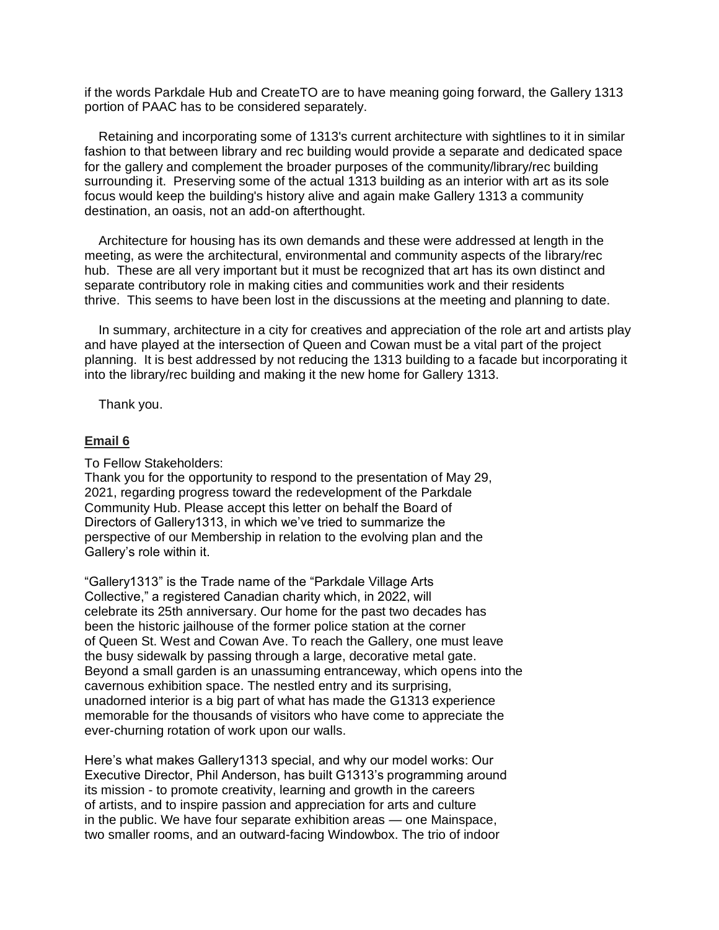if the words Parkdale Hub and CreateTO are to have meaning going forward, the Gallery 1313 portion of PAAC has to be considered separately.

 Retaining and incorporating some of 1313's current architecture with sightlines to it in similar fashion to that between library and rec building would provide a separate and dedicated space for the gallery and complement the broader purposes of the community/library/rec building surrounding it. Preserving some of the actual 1313 building as an interior with art as its sole focus would keep the building's history alive and again make Gallery 1313 a community destination, an oasis, not an add-on afterthought.

 Architecture for housing has its own demands and these were addressed at length in the meeting, as were the architectural, environmental and community aspects of the library/rec hub. These are all very important but it must be recognized that art has its own distinct and separate contributory role in making cities and communities work and their residents thrive. This seems to have been lost in the discussions at the meeting and planning to date.

 In summary, architecture in a city for creatives and appreciation of the role art and artists play and have played at the intersection of Queen and Cowan must be a vital part of the project planning. It is best addressed by not reducing the 1313 building to a facade but incorporating it into the library/rec building and making it the new home for Gallery 1313.

Thank you.

### **Email 6**

To Fellow Stakeholders:

Thank you for the opportunity to respond to the presentation of May 29, 2021, regarding progress toward the redevelopment of the Parkdale Community Hub. Please accept this letter on behalf the Board of Directors of Gallery1313, in which we've tried to summarize the perspective of our Membership in relation to the evolving plan and the Gallery's role within it.

"Gallery1313" is the Trade name of the "Parkdale Village Arts Collective," a registered Canadian charity which, in 2022, will celebrate its 25th anniversary. Our home for the past two decades has been the historic jailhouse of the former police station at the corner of Queen St. West and Cowan Ave. To reach the Gallery, one must leave the busy sidewalk by passing through a large, decorative metal gate. Beyond a small garden is an unassuming entranceway, which opens into the cavernous exhibition space. The nestled entry and its surprising, unadorned interior is a big part of what has made the G1313 experience memorable for the thousands of visitors who have come to appreciate the ever-churning rotation of work upon our walls.

Here's what makes Gallery1313 special, and why our model works: Our Executive Director, Phil Anderson, has built G1313's programming around its mission - to promote creativity, learning and growth in the careers of artists, and to inspire passion and appreciation for arts and culture in the public. We have four separate exhibition areas — one Mainspace, two smaller rooms, and an outward-facing Windowbox. The trio of indoor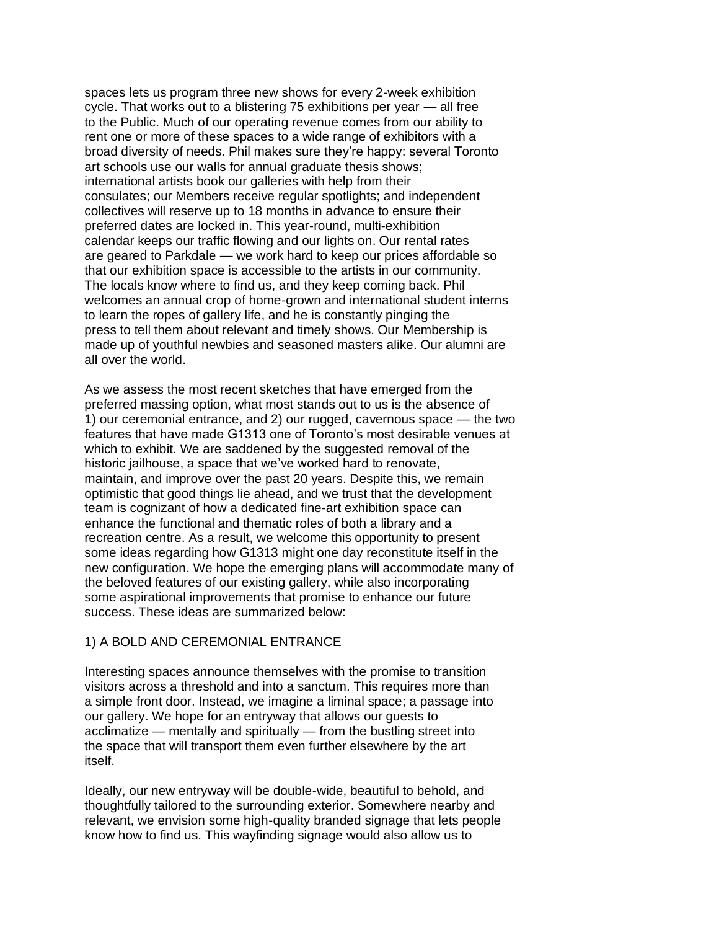spaces lets us program three new shows for every 2-week exhibition cycle. That works out to a blistering 75 exhibitions per year — all free to the Public. Much of our operating revenue comes from our ability to rent one or more of these spaces to a wide range of exhibitors with a broad diversity of needs. Phil makes sure they're happy: several Toronto art schools use our walls for annual graduate thesis shows; international artists book our galleries with help from their consulates; our Members receive regular spotlights; and independent collectives will reserve up to 18 months in advance to ensure their preferred dates are locked in. This year-round, multi-exhibition calendar keeps our traffic flowing and our lights on. Our rental rates are geared to Parkdale — we work hard to keep our prices affordable so that our exhibition space is accessible to the artists in our community. The locals know where to find us, and they keep coming back. Phil welcomes an annual crop of home-grown and international student interns to learn the ropes of gallery life, and he is constantly pinging the press to tell them about relevant and timely shows. Our Membership is made up of youthful newbies and seasoned masters alike. Our alumni are all over the world.

As we assess the most recent sketches that have emerged from the preferred massing option, what most stands out to us is the absence of 1) our ceremonial entrance, and 2) our rugged, cavernous space — the two features that have made G1313 one of Toronto's most desirable venues at which to exhibit. We are saddened by the suggested removal of the historic jailhouse, a space that we've worked hard to renovate, maintain, and improve over the past 20 years. Despite this, we remain optimistic that good things lie ahead, and we trust that the development team is cognizant of how a dedicated fine-art exhibition space can enhance the functional and thematic roles of both a library and a recreation centre. As a result, we welcome this opportunity to present some ideas regarding how G1313 might one day reconstitute itself in the new configuration. We hope the emerging plans will accommodate many of the beloved features of our existing gallery, while also incorporating some aspirational improvements that promise to enhance our future success. These ideas are summarized below:

### 1) A BOLD AND CEREMONIAL ENTRANCE

Interesting spaces announce themselves with the promise to transition visitors across a threshold and into a sanctum. This requires more than a simple front door. Instead, we imagine a liminal space; a passage into our gallery. We hope for an entryway that allows our guests to acclimatize — mentally and spiritually — from the bustling street into the space that will transport them even further elsewhere by the art itself.

Ideally, our new entryway will be double-wide, beautiful to behold, and thoughtfully tailored to the surrounding exterior. Somewhere nearby and relevant, we envision some high-quality branded signage that lets people know how to find us. This wayfinding signage would also allow us to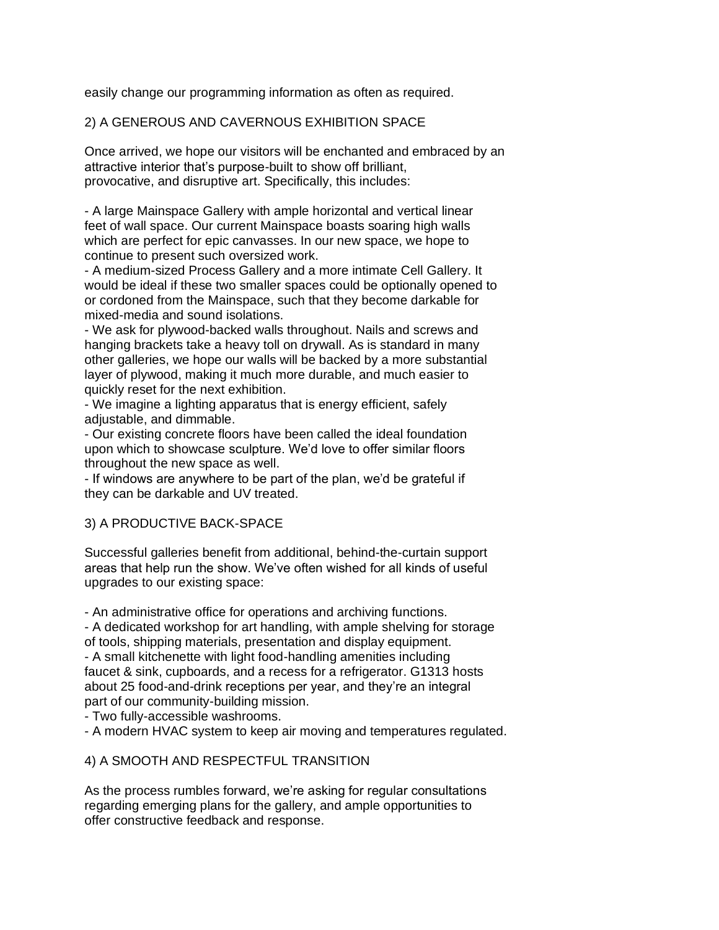easily change our programming information as often as required.

2) A GENEROUS AND CAVERNOUS EXHIBITION SPACE

Once arrived, we hope our visitors will be enchanted and embraced by an attractive interior that's purpose-built to show off brilliant, provocative, and disruptive art. Specifically, this includes:

- A large Mainspace Gallery with ample horizontal and vertical linear feet of wall space. Our current Mainspace boasts soaring high walls which are perfect for epic canvasses. In our new space, we hope to continue to present such oversized work.

- A medium-sized Process Gallery and a more intimate Cell Gallery. It would be ideal if these two smaller spaces could be optionally opened to or cordoned from the Mainspace, such that they become darkable for mixed-media and sound isolations.

- We ask for plywood-backed walls throughout. Nails and screws and hanging brackets take a heavy toll on drywall. As is standard in many other galleries, we hope our walls will be backed by a more substantial layer of plywood, making it much more durable, and much easier to quickly reset for the next exhibition.

- We imagine a lighting apparatus that is energy efficient, safely adiustable, and dimmable.

- Our existing concrete floors have been called the ideal foundation upon which to showcase sculpture. We'd love to offer similar floors throughout the new space as well.

- If windows are anywhere to be part of the plan, we'd be grateful if they can be darkable and UV treated.

# 3) A PRODUCTIVE BACK-SPACE

Successful galleries benefit from additional, behind-the-curtain support areas that help run the show. We've often wished for all kinds of useful upgrades to our existing space:

- An administrative office for operations and archiving functions.

- A dedicated workshop for art handling, with ample shelving for storage of tools, shipping materials, presentation and display equipment. - A small kitchenette with light food-handling amenities including faucet & sink, cupboards, and a recess for a refrigerator. G1313 hosts about 25 food-and-drink receptions per year, and they're an integral part of our community-building mission.

- Two fully-accessible washrooms.

- A modern HVAC system to keep air moving and temperatures regulated.

# 4) A SMOOTH AND RESPECTFUL TRANSITION

As the process rumbles forward, we're asking for regular consultations regarding emerging plans for the gallery, and ample opportunities to offer constructive feedback and response.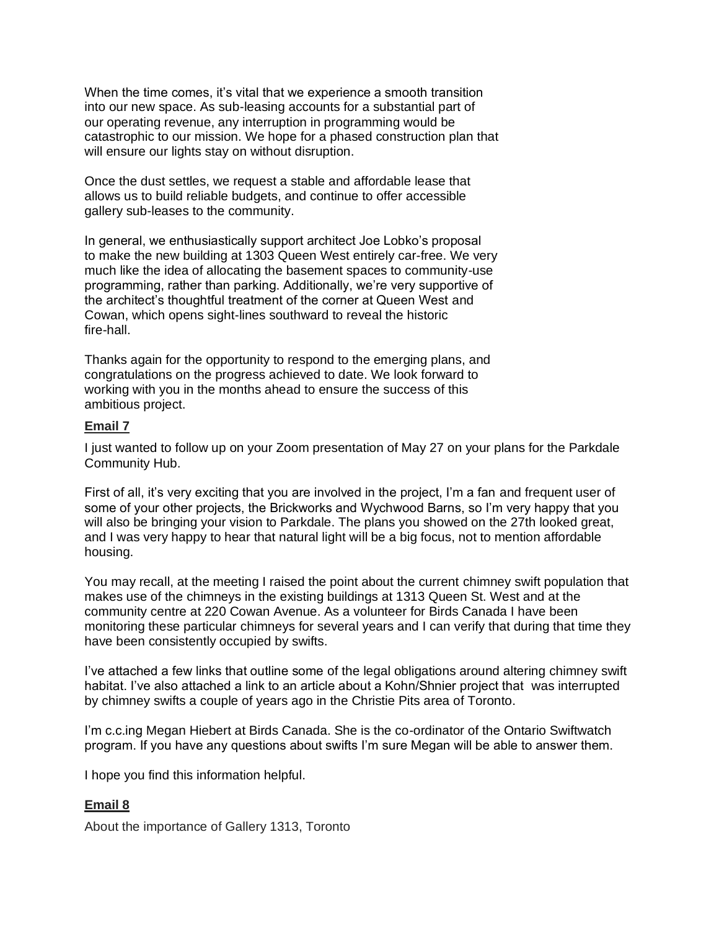When the time comes, it's vital that we experience a smooth transition into our new space. As sub-leasing accounts for a substantial part of our operating revenue, any interruption in programming would be catastrophic to our mission. We hope for a phased construction plan that will ensure our lights stay on without disruption.

Once the dust settles, we request a stable and affordable lease that allows us to build reliable budgets, and continue to offer accessible gallery sub-leases to the community.

In general, we enthusiastically support architect Joe Lobko's proposal to make the new building at 1303 Queen West entirely car-free. We very much like the idea of allocating the basement spaces to community-use programming, rather than parking. Additionally, we're very supportive of the architect's thoughtful treatment of the corner at Queen West and Cowan, which opens sight-lines southward to reveal the historic fire-hall.

Thanks again for the opportunity to respond to the emerging plans, and congratulations on the progress achieved to date. We look forward to working with you in the months ahead to ensure the success of this ambitious project.

### **Email 7**

I just wanted to follow up on your Zoom presentation of May 27 on your plans for the Parkdale Community Hub.

First of all, it's very exciting that you are involved in the project, I'm a fan and frequent user of some of your other projects, the Brickworks and Wychwood Barns, so I'm very happy that you will also be bringing your vision to Parkdale. The plans you showed on the 27th looked great, and I was very happy to hear that natural light will be a big focus, not to mention affordable housing.

You may recall, at the meeting I raised the point about the current chimney swift population that makes use of the chimneys in the existing buildings at 1313 Queen St. West and at the community centre at 220 Cowan Avenue. As a volunteer for Birds Canada I have been monitoring these particular chimneys for several years and I can verify that during that time they have been consistently occupied by swifts.

I've attached a few links that outline some of the legal obligations around altering chimney swift habitat. I've also attached a link to an article about a Kohn/Shnier project that was interrupted by chimney swifts a couple of years ago in the Christie Pits area of Toronto.

I'm c.c.ing Megan Hiebert at Birds Canada. She is the co-ordinator of the Ontario Swiftwatch program. If you have any questions about swifts I'm sure Megan will be able to answer them.

I hope you find this information helpful.

# **Email 8**

About the importance of Gallery 1313, Toronto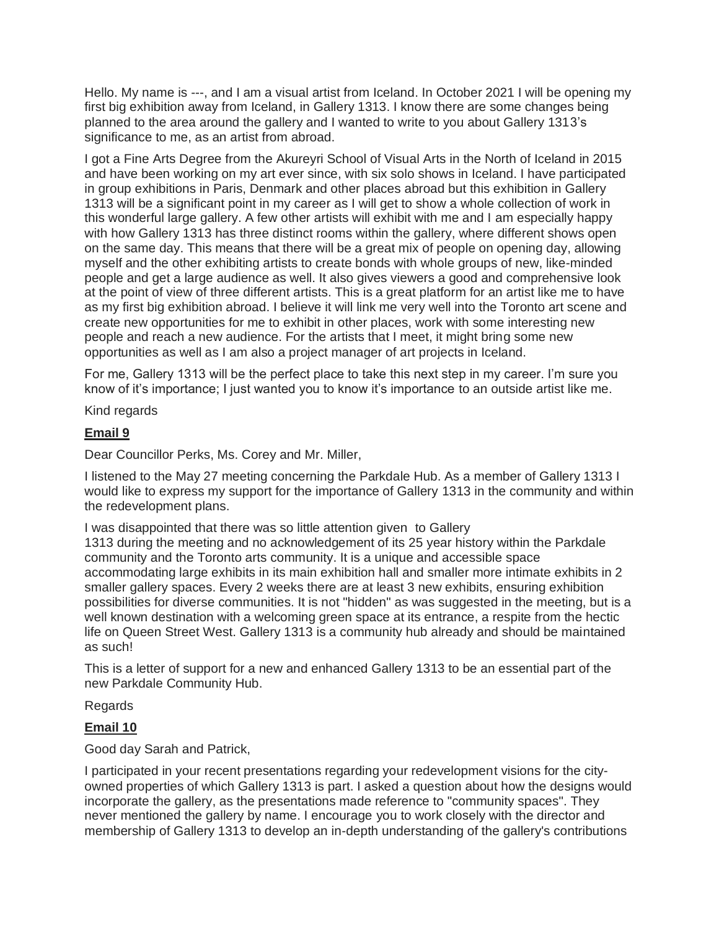Hello. My name is ---, and I am a visual artist from Iceland. In October 2021 I will be opening my first big exhibition away from Iceland, in Gallery 1313. I know there are some changes being planned to the area around the gallery and I wanted to write to you about Gallery 1313's significance to me, as an artist from abroad.

I got a Fine Arts Degree from the Akureyri School of Visual Arts in the North of Iceland in 2015 and have been working on my art ever since, with six solo shows in Iceland. I have participated in group exhibitions in Paris, Denmark and other places abroad but this exhibition in Gallery 1313 will be a significant point in my career as I will get to show a whole collection of work in this wonderful large gallery. A few other artists will exhibit with me and I am especially happy with how Gallery 1313 has three distinct rooms within the gallery, where different shows open on the same day. This means that there will be a great mix of people on opening day, allowing myself and the other exhibiting artists to create bonds with whole groups of new, like-minded people and get a large audience as well. It also gives viewers a good and comprehensive look at the point of view of three different artists. This is a great platform for an artist like me to have as my first big exhibition abroad. I believe it will link me very well into the Toronto art scene and create new opportunities for me to exhibit in other places, work with some interesting new people and reach a new audience. For the artists that I meet, it might bring some new opportunities as well as I am also a project manager of art projects in Iceland.

For me, Gallery 1313 will be the perfect place to take this next step in my career. I'm sure you know of it's importance; I just wanted you to know it's importance to an outside artist like me.

Kind regards

# **Email 9**

Dear Councillor Perks, Ms. Corey and Mr. Miller,

I listened to the May 27 meeting concerning the Parkdale Hub. As a member of Gallery 1313 I would like to express my support for the importance of Gallery 1313 in the community and within the redevelopment plans.

I was disappointed that there was so little attention given to Gallery 1313 during the meeting and no acknowledgement of its 25 year history within the Parkdale community and the Toronto arts community. It is a unique and accessible space accommodating large exhibits in its main exhibition hall and smaller more intimate exhibits in 2 smaller gallery spaces. Every 2 weeks there are at least 3 new exhibits, ensuring exhibition possibilities for diverse communities. It is not "hidden" as was suggested in the meeting, but is a well known destination with a welcoming green space at its entrance, a respite from the hectic life on Queen Street West. Gallery 1313 is a community hub already and should be maintained as such!

This is a letter of support for a new and enhanced Gallery 1313 to be an essential part of the new Parkdale Community Hub.

**Regards** 

# **Email 10**

Good day Sarah and Patrick,

I participated in your recent presentations regarding your redevelopment visions for the cityowned properties of which Gallery 1313 is part. I asked a question about how the designs would incorporate the gallery, as the presentations made reference to "community spaces". They never mentioned the gallery by name. I encourage you to work closely with the director and membership of Gallery 1313 to develop an in-depth understanding of the gallery's contributions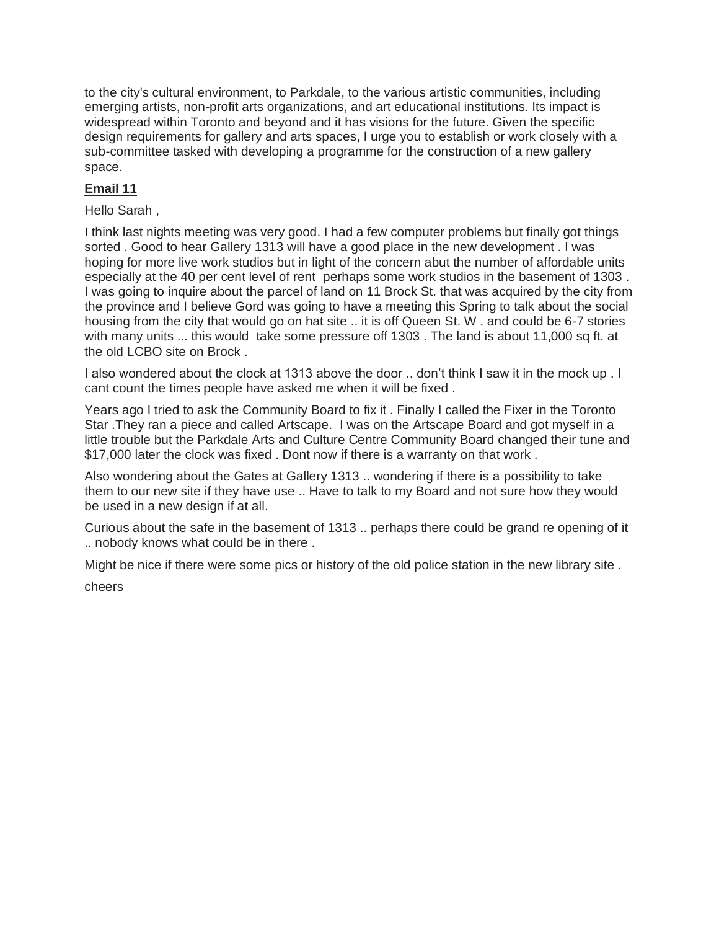to the city's cultural environment, to Parkdale, to the various artistic communities, including emerging artists, non-profit arts organizations, and art educational institutions. Its impact is widespread within Toronto and beyond and it has visions for the future. Given the specific design requirements for gallery and arts spaces, I urge you to establish or work closely with a sub-committee tasked with developing a programme for the construction of a new gallery space.

# **Email 11**

# Hello Sarah ,

I think last nights meeting was very good. I had a few computer problems but finally got things sorted . Good to hear Gallery 1313 will have a good place in the new development . I was hoping for more live work studios but in light of the concern abut the number of affordable units especially at the 40 per cent level of rent perhaps some work studios in the basement of 1303 . I was going to inquire about the parcel of land on 11 Brock St. that was acquired by the city from the province and I believe Gord was going to have a meeting this Spring to talk about the social housing from the city that would go on hat site .. it is off Queen St. W . and could be 6-7 stories with many units ... this would take some pressure off 1303 . The land is about 11,000 sq ft. at the old LCBO site on Brock .

I also wondered about the clock at 1313 above the door .. don't think I saw it in the mock up . I cant count the times people have asked me when it will be fixed .

Years ago I tried to ask the Community Board to fix it . Finally I called the Fixer in the Toronto Star .They ran a piece and called Artscape. I was on the Artscape Board and got myself in a little trouble but the Parkdale Arts and Culture Centre Community Board changed their tune and \$17,000 later the clock was fixed . Dont now if there is a warranty on that work .

Also wondering about the Gates at Gallery 1313 .. wondering if there is a possibility to take them to our new site if they have use .. Have to talk to my Board and not sure how they would be used in a new design if at all.

Curious about the safe in the basement of 1313 .. perhaps there could be grand re opening of it .. nobody knows what could be in there .

Might be nice if there were some pics or history of the old police station in the new library site . cheers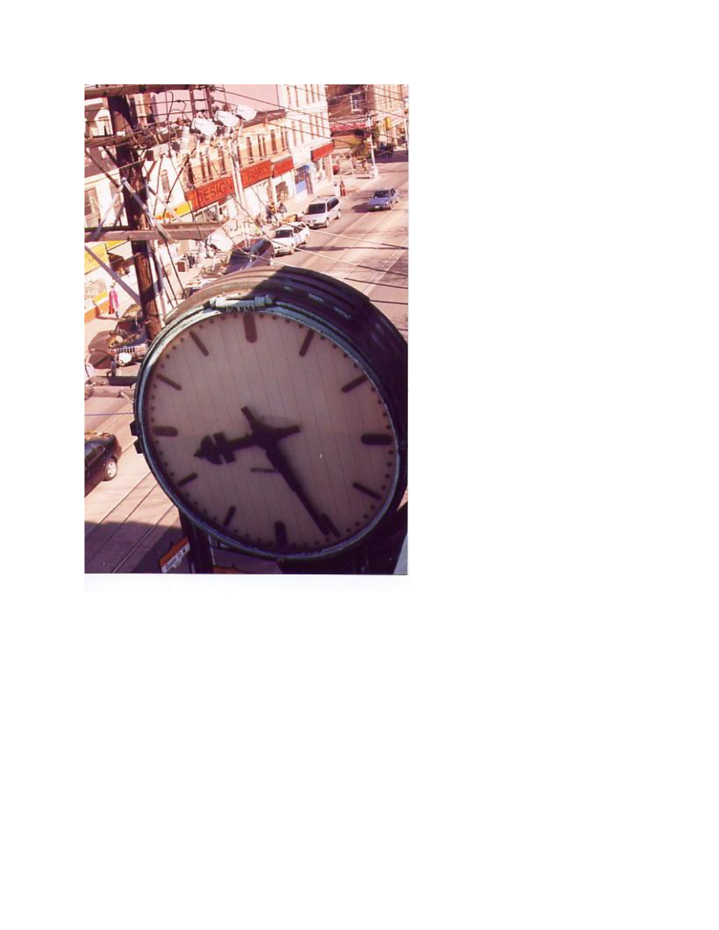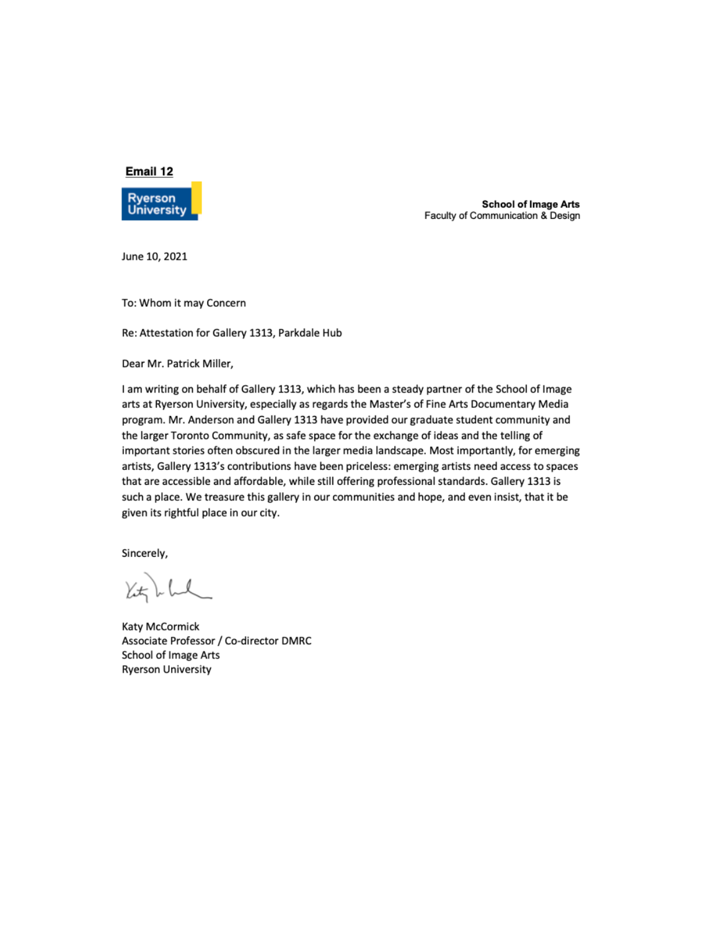

**School of Image Arts** Faculty of Communication & Design

June 10, 2021

To: Whom it may Concern

Re: Attestation for Gallery 1313, Parkdale Hub

Dear Mr. Patrick Miller,

I am writing on behalf of Gallery 1313, which has been a steady partner of the School of Image arts at Ryerson University, especially as regards the Master's of Fine Arts Documentary Media program. Mr. Anderson and Gallery 1313 have provided our graduate student community and the larger Toronto Community, as safe space for the exchange of ideas and the telling of important stories often obscured in the larger media landscape. Most importantly, for emerging artists, Gallery 1313's contributions have been priceless: emerging artists need access to spaces that are accessible and affordable, while still offering professional standards. Gallery 1313 is such a place. We treasure this gallery in our communities and hope, and even insist, that it be given its rightful place in our city.

Sincerely,

 $X + LLL$ 

Katy McCormick Associate Professor / Co-director DMRC School of Image Arts **Ryerson University**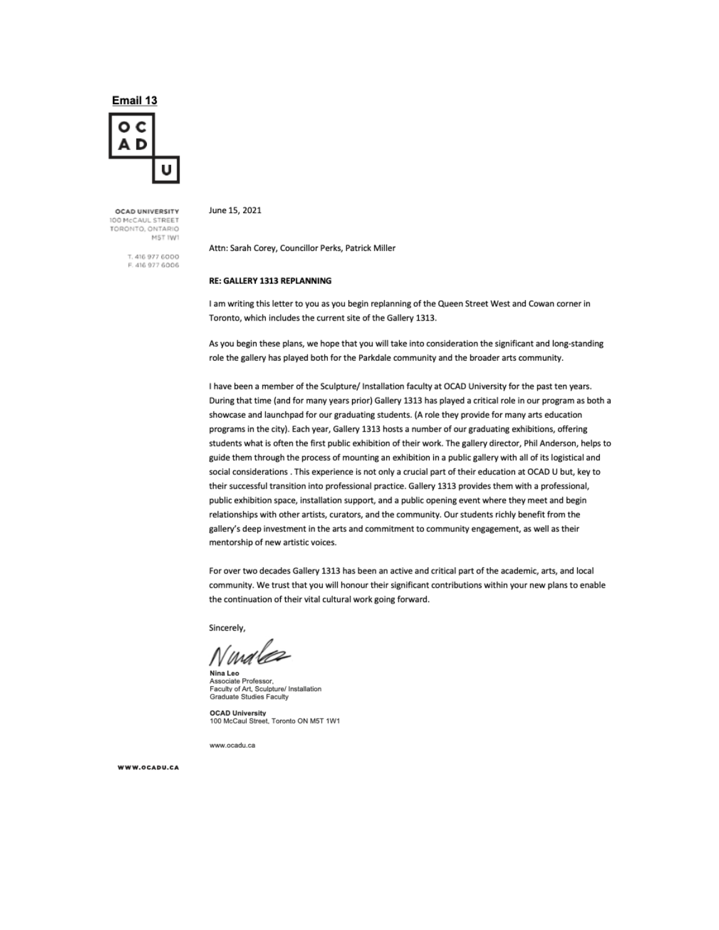

**OCAD UNIVERSITY** 100 McCAUL STREET TORONTO, ONTARIO MST IW1

June 15, 2021

T. 416 977 6000 F. 416 977 6006

Attn: Sarah Corey, Councillor Perks, Patrick Miller

#### RE: GALLERY 1313 REPLANNING

I am writing this letter to you as you begin replanning of the Queen Street West and Cowan corner in Toronto, which includes the current site of the Gallery 1313.

As you begin these plans, we hope that you will take into consideration the significant and long-standing role the gallery has played both for the Parkdale community and the broader arts community.

I have been a member of the Sculpture/ Installation faculty at OCAD University for the past ten years. During that time (and for many years prior) Gallery 1313 has played a critical role in our program as both a showcase and launchpad for our graduating students. (A role they provide for many arts education programs in the city). Each year, Gallery 1313 hosts a number of our graduating exhibitions, offering students what is often the first public exhibition of their work. The gallery director, Phil Anderson, helps to guide them through the process of mounting an exhibition in a public gallery with all of its logistical and social considerations . This experience is not only a crucial part of their education at OCAD U but, key to their successful transition into professional practice. Gallery 1313 provides them with a professional, public exhibition space, installation support, and a public opening event where they meet and begin relationships with other artists, curators, and the community. Our students richly benefit from the gallery's deep investment in the arts and commitment to community engagement, as well as their mentorship of new artistic voices.

For over two decades Gallery 1313 has been an active and critical part of the academic, arts, and local community. We trust that you will honour their significant contributions within your new plans to enable the continuation of their vital cultural work going forward.

Sincerely,

N wal

Nina Leo Associate Professor,<br>Faculty of Art, Sculpture/ Installation Graduate Studies Faculty

**OCAD University** 100 McCaul Street, Toronto ON M5T 1W1

www.ocadu.ca

WWW.OCADU.CA